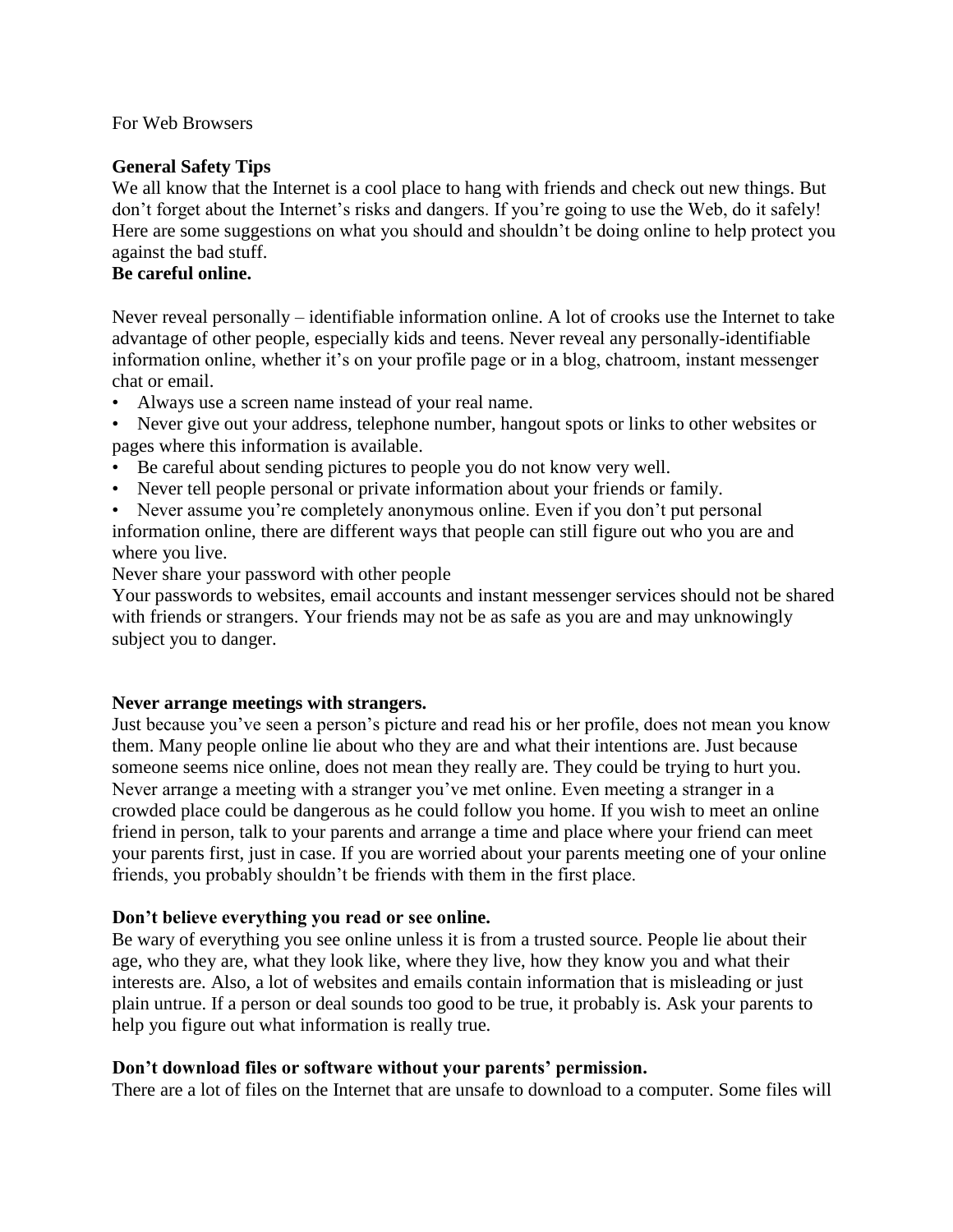For Web Browsers

# **General Safety Tips**

We all know that the Internet is a cool place to hang with friends and check out new things. But don't forget about the Internet's risks and dangers. If you're going to use the Web, do it safely! Here are some suggestions on what you should and shouldn't be doing online to help protect you against the bad stuff.

## **Be careful online.**

Never reveal personally – identifiable information online. A lot of crooks use the Internet to take advantage of other people, especially kids and teens. Never reveal any personally-identifiable information online, whether it's on your profile page or in a blog, chatroom, instant messenger chat or email.

- Always use a screen name instead of your real name.
- Never give out your address, telephone number, hangout spots or links to other websites or pages where this information is available.
- Be careful about sending pictures to people you do not know very well.
- Never tell people personal or private information about your friends or family.
- Never assume you're completely anonymous online. Even if you don't put personal

information online, there are different ways that people can still figure out who you are and where you live.

Never share your password with other people

Your passwords to websites, email accounts and instant messenger services should not be shared with friends or strangers. Your friends may not be as safe as you are and may unknowingly subject you to danger.

### **Never arrange meetings with strangers.**

Just because you've seen a person's picture and read his or her profile, does not mean you know them. Many people online lie about who they are and what their intentions are. Just because someone seems nice online, does not mean they really are. They could be trying to hurt you. Never arrange a meeting with a stranger you've met online. Even meeting a stranger in a crowded place could be dangerous as he could follow you home. If you wish to meet an online friend in person, talk to your parents and arrange a time and place where your friend can meet your parents first, just in case. If you are worried about your parents meeting one of your online friends, you probably shouldn't be friends with them in the first place.

### **Don't believe everything you read or see online.**

Be wary of everything you see online unless it is from a trusted source. People lie about their age, who they are, what they look like, where they live, how they know you and what their interests are. Also, a lot of websites and emails contain information that is misleading or just plain untrue. If a person or deal sounds too good to be true, it probably is. Ask your parents to help you figure out what information is really true.

### **Don't download files or software without your parents' permission.**

There are a lot of files on the Internet that are unsafe to download to a computer. Some files will